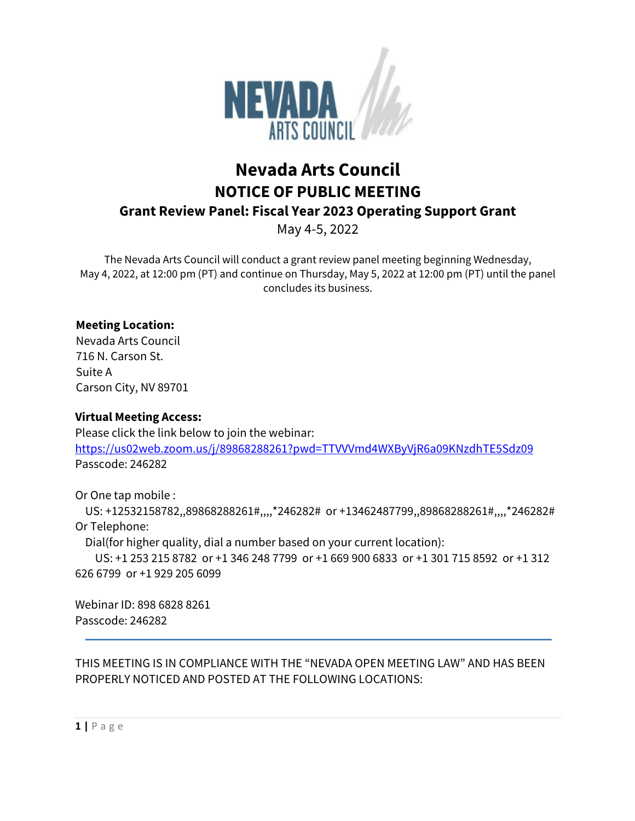

# **Nevada Arts Council NOTICE OF PUBLIC MEETING Grant Review Panel: Fiscal Year 2023 Operating Support Grant**

May 4-5, 2022

The Nevada Arts Council will conduct a grant review panel meeting beginning Wednesday, May 4, 2022, at 12:00 pm (PT) and continue on Thursday, May 5, 2022 at 12:00 pm (PT) until the panel concludes its business.

# **Meeting Location:**

Nevada Arts Council 716 N. Carson St. Suite A Carson City, NV 89701

## **Virtual Meeting Access:**

Please click the link below to join the webinar: https://us02web.zoom.us/j/89868288261?pwd=TTVVVmd4WXByVjR6a09KNzdhTE5Sdz09 Passcode: 246282

Or One tap mobile :

 US: +12532158782,,89868288261#,,,,\*246282# or +13462487799,,89868288261#,,,,\*246282# Or Telephone:

Dial(for higher quality, dial a number based on your current location):

 US: +1 253 215 8782 or +1 346 248 7799 or +1 669 900 6833 or +1 301 715 8592 or +1 312 626 6799 or +1 929 205 6099

Webinar ID: 898 6828 8261 Passcode: 246282

THIS MEETING IS IN COMPLIANCE WITH THE "NEVADA OPEN MEETING LAW" AND HAS BEEN PROPERLY NOTICED AND POSTED AT THE FOLLOWING LOCATIONS:

\_\_\_\_\_\_\_\_\_\_\_\_\_\_\_\_\_\_\_\_\_\_\_\_\_\_\_\_\_\_\_\_\_\_\_\_\_\_\_\_\_\_\_\_\_\_\_\_\_\_\_\_\_\_\_\_\_\_\_\_\_\_\_\_\_\_\_\_\_\_\_\_\_\_\_\_\_\_\_\_\_\_\_\_\_\_\_\_\_\_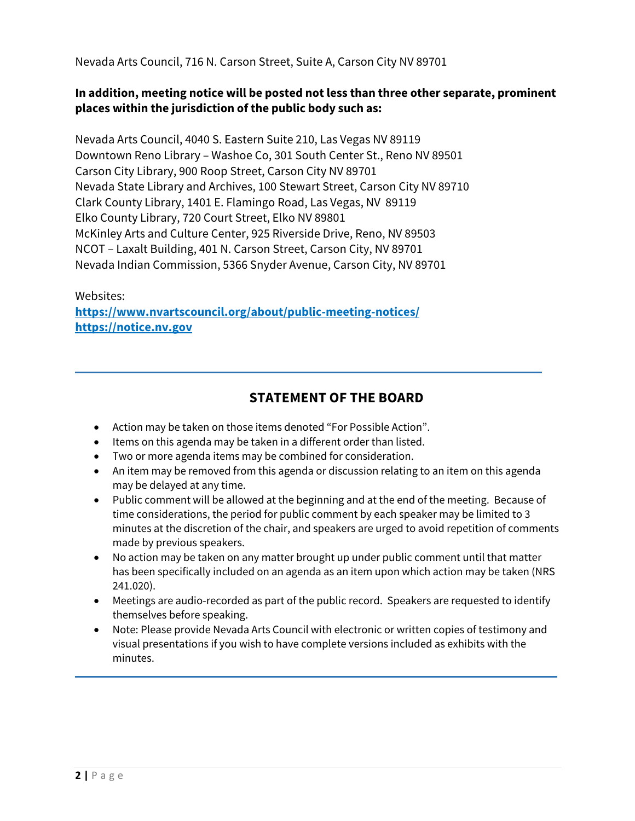Nevada Arts Council, 716 N. Carson Street, Suite A, Carson City NV 89701

# **In addition, meeting notice will be posted not less than three other separate, prominent places within the jurisdiction of the public body such as:**

Nevada Arts Council, 4040 S. Eastern Suite 210, Las Vegas NV 89119 Downtown Reno Library – Washoe Co, 301 South Center St., Reno NV 89501 Carson City Library, 900 Roop Street, Carson City NV 89701 Nevada State Library and Archives, 100 Stewart Street, Carson City NV 89710 Clark County Library, 1401 E. Flamingo Road, Las Vegas, NV 89119 Elko County Library, 720 Court Street, Elko NV 89801 McKinley Arts and Culture Center, 925 Riverside Drive, Reno, NV 89503 NCOT – Laxalt Building, 401 N. Carson Street, Carson City, NV 89701 Nevada Indian Commission, 5366 Snyder Avenue, Carson City, NV 89701

Websites: **https://www.nvartscouncil.org/about/public-meeting-notices/ https://notice.nv.gov**

# **STATEMENT OF THE BOARD**

- Action may be taken on those items denoted "For Possible Action".
- Items on this agenda may be taken in a different order than listed.
- Two or more agenda items may be combined for consideration.
- An item may be removed from this agenda or discussion relating to an item on this agenda may be delayed at any time.

 $\mathcal{L}_\mathcal{L} = \{ \mathcal{L}_\mathcal{L} = \{ \mathcal{L}_\mathcal{L} = \{ \mathcal{L}_\mathcal{L} = \{ \mathcal{L}_\mathcal{L} = \{ \mathcal{L}_\mathcal{L} = \{ \mathcal{L}_\mathcal{L} = \{ \mathcal{L}_\mathcal{L} = \{ \mathcal{L}_\mathcal{L} = \{ \mathcal{L}_\mathcal{L} = \{ \mathcal{L}_\mathcal{L} = \{ \mathcal{L}_\mathcal{L} = \{ \mathcal{L}_\mathcal{L} = \{ \mathcal{L}_\mathcal{L} = \{ \mathcal{L}_\mathcal{$ 

- Public comment will be allowed at the beginning and at the end of the meeting. Because of time considerations, the period for public comment by each speaker may be limited to 3 minutes at the discretion of the chair, and speakers are urged to avoid repetition of comments made by previous speakers.
- No action may be taken on any matter brought up under public comment until that matter has been specifically included on an agenda as an item upon which action may be taken (NRS 241.020).
- Meetings are audio-recorded as part of the public record. Speakers are requested to identify themselves before speaking.
- Note: Please provide Nevada Arts Council with electronic or written copies of testimony and visual presentations if you wish to have complete versions included as exhibits with the minutes.

 $\mathcal{L}_\mathcal{L} = \mathcal{L}_\mathcal{L} = \mathcal{L}_\mathcal{L} = \mathcal{L}_\mathcal{L} = \mathcal{L}_\mathcal{L} = \mathcal{L}_\mathcal{L} = \mathcal{L}_\mathcal{L} = \mathcal{L}_\mathcal{L} = \mathcal{L}_\mathcal{L} = \mathcal{L}_\mathcal{L} = \mathcal{L}_\mathcal{L} = \mathcal{L}_\mathcal{L} = \mathcal{L}_\mathcal{L} = \mathcal{L}_\mathcal{L} = \mathcal{L}_\mathcal{L} = \mathcal{L}_\mathcal{L} = \mathcal{L}_\mathcal{L}$